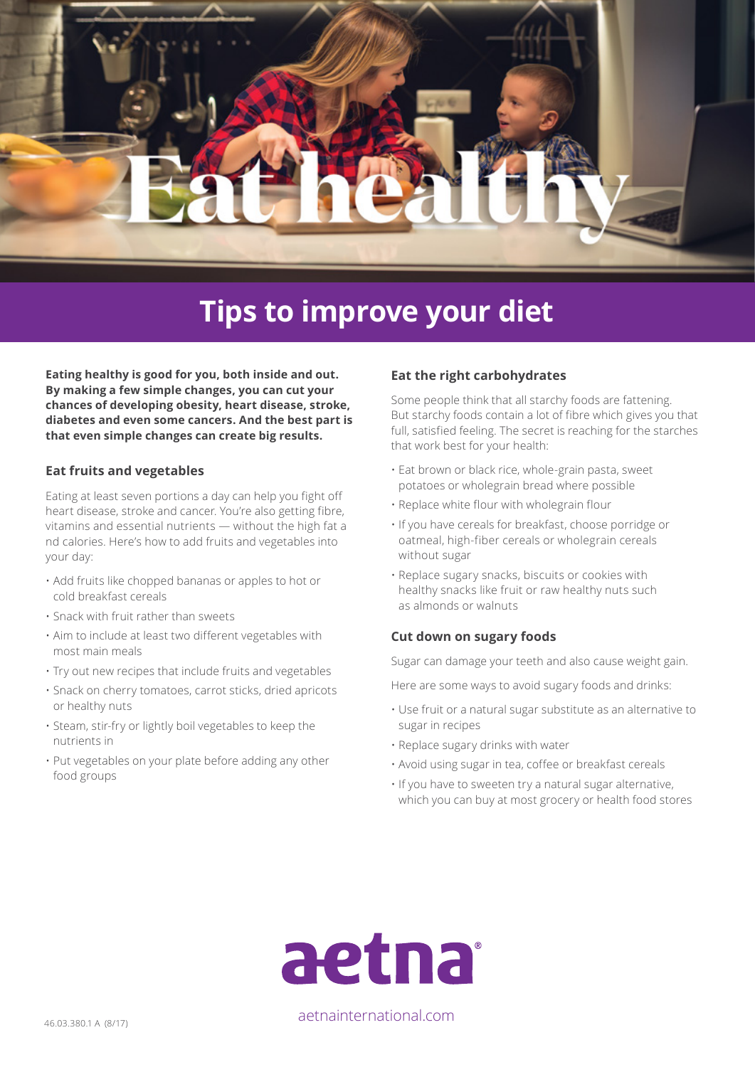

# **Tips to improve your diet**

**Eating healthy is good for you, both inside and out. By making a few simple changes, you can cut your chances of developing obesity, heart disease, stroke, diabetes and even some cancers. And the best part is that even simple changes can create big results.** 

#### **Eat fruits and vegetables**

Eating at least seven portions a day can help you fight off heart disease, stroke and cancer. You're also getting fibre, vitamins and essential nutrients — without the high fat a nd calories. Here's how to add fruits and vegetables into your day:

- Add fruits like chopped bananas or apples to hot or cold breakfast cereals
- Snack with fruit rather than sweets
- Aim to include at least two different vegetables with most main meals
- Try out new recipes that include fruits and vegetables
- Snack on cherry tomatoes, carrot sticks, dried apricots or healthy nuts
- Steam, stir-fry or lightly boil vegetables to keep the nutrients in
- Put vegetables on your plate before adding any other food groups

#### **Eat the right carbohydrates**

Some people think that all starchy foods are fattening. But starchy foods contain a lot of fibre which gives you that full, satisfied feeling. The secret is reaching for the starches that work best for your health:

- Eat brown or black rice, whole-grain pasta, sweet potatoes or wholegrain bread where possible
- Replace white flour with wholegrain flour
- If you have cereals for breakfast, choose porridge or oatmeal, high-fiber cereals or wholegrain cereals without sugar
- Replace sugary snacks, biscuits or cookies with healthy snacks like fruit or raw healthy nuts such as almonds or walnuts

#### **Cut down on sugary foods**

Sugar can damage your teeth and also cause weight gain.

Here are some ways to avoid sugary foods and drinks:

- Use fruit or a natural sugar substitute as an alternative to sugar in recipes
- Replace sugary drinks with water
- Avoid using sugar in tea, coffee or breakfast cereals
- If you have to sweeten try a natural sugar alternative, which you can buy at most grocery or health food stores



46.03.380.1 A (8/17) aetnainternational.com